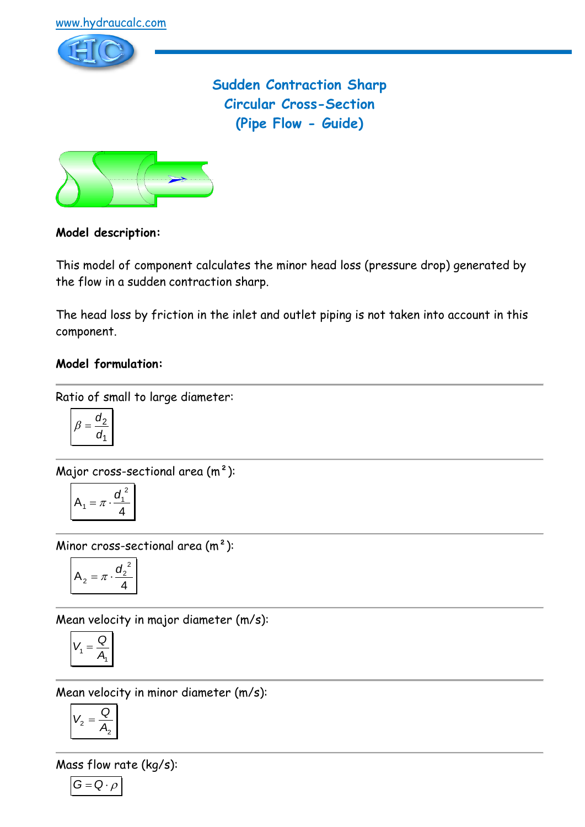

**Sudden Contraction Sharp Circular Cross-Section (Pipe Flow - Guide)**



# **Model description:**

This model of component calculates the minor head loss (pressure drop) generated by the flow in a sudden contraction sharp.

The head loss by friction in the inlet and outlet piping is not taken into account in this component.

#### **Model formulation:**

Ratio of small to large diameter:

$$
\beta = \frac{d_2}{d_1}
$$

Major cross-sectional area (m²):

$$
A_1 = \pi \cdot \frac{d_1^2}{4}
$$

Minor cross-sectional area (m²):

$$
A_2 = \pi \cdot \frac{d_2^2}{4}
$$

Mean velocity in major diameter (m/s):

$$
V_1 = \frac{Q}{A_1}
$$

Mean velocity in minor diameter (m/s):

$$
V_2 = \frac{Q}{A_2}
$$

Mass flow rate (kg/s):

$$
G=Q\cdot \rho
$$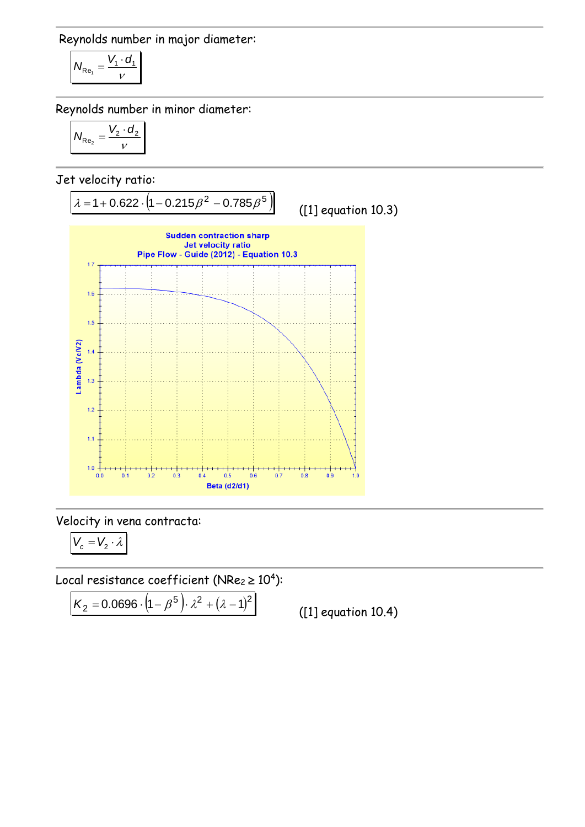Reynolds number in major diameter:

$$
N_{\text{Re}_1} = \frac{V_1 \cdot d_1}{V}
$$

Reynolds number in minor diameter:

$$
N_{\text{Re}_2} = \frac{V_2 \cdot d_2}{v}
$$

Jet velocity ratio:



Velocity in vena contracta:

$$
V_c = V_2 \cdot \lambda
$$

Local resistance coefficient (NRe $_{2}$   $\geq 10^{4}$ ):

$$
K_2 = 0.0696 \cdot (1 - \beta^5) \cdot \lambda^2 + (\lambda - 1)^2
$$

([1] equation 10.4)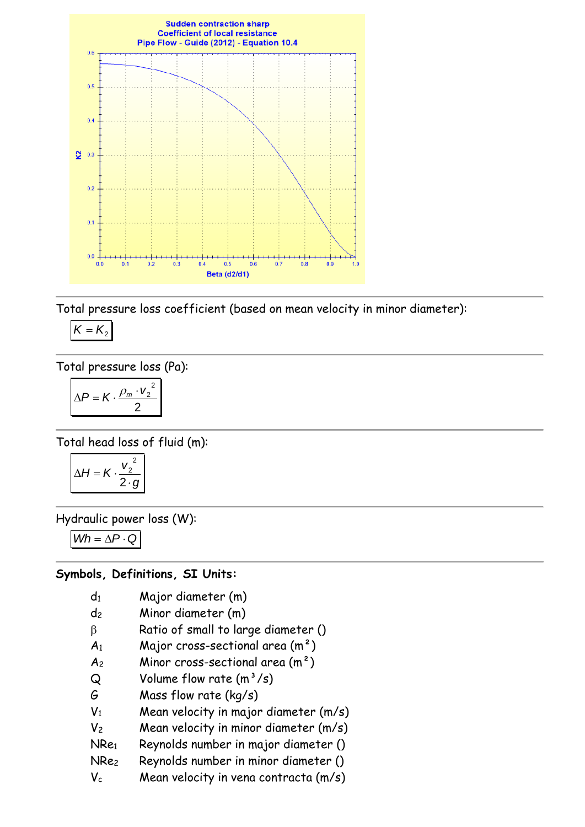

Total pressure loss coefficient (based on mean velocity in minor diameter):

$$
K=K_2
$$

Total pressure loss (Pa):

$$
\Delta P = K \cdot \frac{\rho_m \cdot v_2^2}{2}
$$

Total head loss of fluid (m):

$$
\Delta H = K \cdot \frac{{v_2}^2}{2 \cdot g}
$$

Hydraulic power loss (W):

 $Wh = \Delta P \cdot Q$ 

#### **Symbols, Definitions, SI Units:**

- d<sup>1</sup> Major diameter (m)
- d<sup>2</sup> Minor diameter (m)
- $\beta$  Ratio of small to large diameter ()
- $A_1$  Major cross-sectional area  $(m^2)$
- $A<sub>2</sub>$  Minor cross-sectional area (m<sup>2</sup>)
- $Q$  Volume flow rate  $(m^3/s)$
- G Mass flow rate (kg/s)
- $V_1$  Mean velocity in major diameter  $(m/s)$
- $V_2$  Mean velocity in minor diameter  $(m/s)$
- NRe<sup>1</sup> Reynolds number in major diameter ()
- NRe<sup>2</sup> Reynolds number in minor diameter ()
- $V_c$  Mean velocity in vena contracta (m/s)